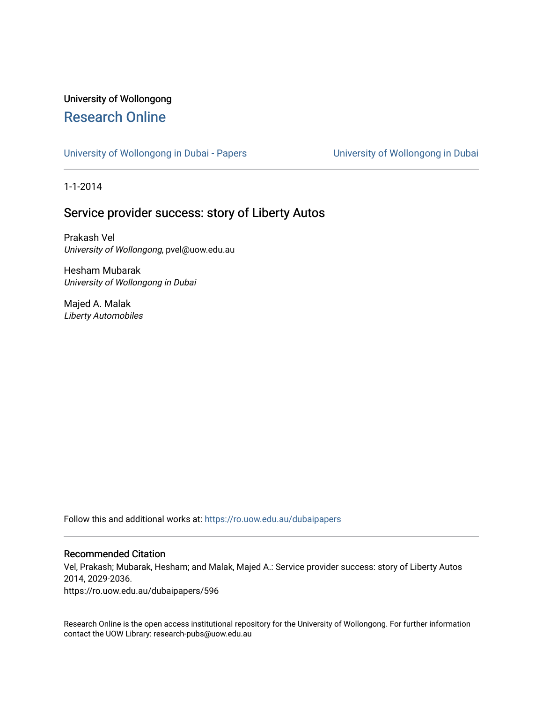# University of Wollongong [Research Online](https://ro.uow.edu.au/)

[University of Wollongong in Dubai - Papers](https://ro.uow.edu.au/dubaipapers) **University of Wollongong in Dubai** 

1-1-2014

# Service provider success: story of Liberty Autos

Prakash Vel University of Wollongong, pvel@uow.edu.au

Hesham Mubarak University of Wollongong in Dubai

Majed A. Malak Liberty Automobiles

Follow this and additional works at: [https://ro.uow.edu.au/dubaipapers](https://ro.uow.edu.au/dubaipapers?utm_source=ro.uow.edu.au%2Fdubaipapers%2F596&utm_medium=PDF&utm_campaign=PDFCoverPages) 

# Recommended Citation

Vel, Prakash; Mubarak, Hesham; and Malak, Majed A.: Service provider success: story of Liberty Autos 2014, 2029-2036.

https://ro.uow.edu.au/dubaipapers/596

Research Online is the open access institutional repository for the University of Wollongong. For further information contact the UOW Library: research-pubs@uow.edu.au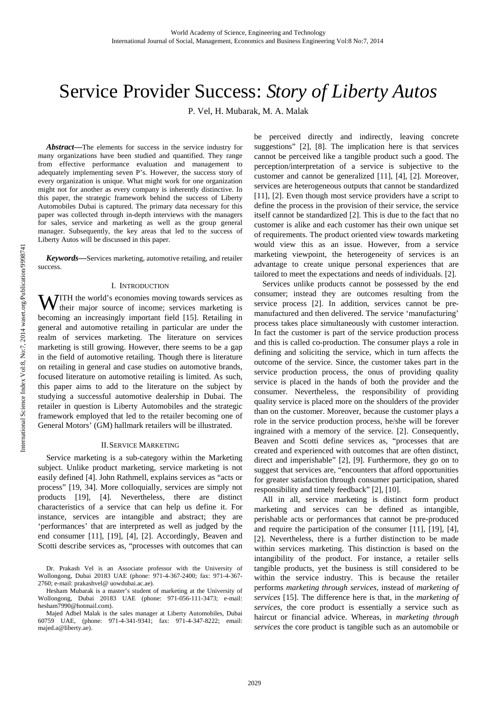# Service Provider Success: *Story of Liberty Autos*

P. Vel, H. Mubarak, M. A. Malak

*Abstract***—**The elements for success in the service industry for many organizations have been studied and quantified. They range from effective performance evaluation and management to adequately implementing seven P's. However, the success story of every organization is unique. What might work for one organization might not for another as every company is inherently distinctive. In this paper, the strategic framework behind the success of Liberty Automobiles Dubai is captured. The primary data necessary for this paper was collected through in-depth interviews with the managers for sales, service and marketing as well as the group general manager. Subsequently, the key areas that led to the success of Liberty Autos will be discussed in this paper.

*Keywords***—**Services marketing, automotive retailing, and retailer success.

#### I. INTRODUCTION

**JITH** the world's economies moving towards services as **WITH** the world's economies moving towards services as their major source of income; services marketing is becoming an increasingly important field [15]. Retailing in general and automotive retailing in particular are under the realm of services marketing. The literature on services marketing is still growing. However, there seems to be a gap in the field of automotive retailing. Though there is literature on retailing in general and case studies on automotive brands, focused literature on automotive retailing is limited. As such, this paper aims to add to the literature on the subject by studying a successful automotive dealership in Dubai. The retailer in question is Liberty Automobiles and the strategic framework employed that led to the retailer becoming one of General Motors' (GM) hallmark retailers will be illustrated.

#### II.SERVICE MARKETING

Service marketing is a sub-category within the Marketing subject. Unlike product marketing, service marketing is not easily defined [4]. John Rathmell, explains services as "acts or process" [19, 34]. More colloquially, services are simply not products [19], [4]. Nevertheless, there are distinct characteristics of a service that can help us define it. For instance, services are intangible and abstract; they are 'performances' that are interpreted as well as judged by the end consumer [11], [19], [4], [2]. Accordingly, Beaven and Scotti describe services as, "processes with outcomes that can be perceived directly and indirectly, leaving concrete suggestions" [2], [8]. The implication here is that services cannot be perceived like a tangible product such a good. The perception/interpretation of a service is subjective to the customer and cannot be generalized [11], [4], [2]. Moreover, services are heterogeneous outputs that cannot be standardized [11], [2]. Even though most service providers have a script to define the process in the provision of their service, the service itself cannot be standardized [2]. This is due to the fact that no customer is alike and each customer has their own unique set of requirements. The product oriented view towards marketing would view this as an issue. However, from a service marketing viewpoint, the heterogeneity of services is an advantage to create unique personal experiences that are tailored to meet the expectations and needs of individuals. [2].

Services unlike products cannot be possessed by the end consumer; instead they are outcomes resulting from the service process [2]. In addition, services cannot be premanufactured and then delivered. The service 'manufacturing' process takes place simultaneously with customer interaction. In fact the customer is part of the service production process and this is called co-production. The consumer plays a role in defining and soliciting the service, which in turn affects the outcome of the service. Since, the customer takes part in the service production process, the onus of providing quality service is placed in the hands of both the provider and the consumer. Nevertheless, the responsibility of providing quality service is placed more on the shoulders of the provider than on the customer. Moreover, because the customer plays a role in the service production process, he/she will be forever ingrained with a memory of the service. [2]. Consequently, Beaven and Scotti define services as, "processes that are created and experienced with outcomes that are often distinct, direct and imperishable" [2], [9]. Furthermore, they go on to suggest that services are, "encounters that afford opportunities for greater satisfaction through consumer participation, shared responsibility and timely feedback" [2], [10].

All in all, service marketing is distinct form product marketing and services can be defined as intangible, perishable acts or performances that cannot be pre-produced and require the participation of the consumer [11], [19], [4], [2]. Nevertheless, there is a further distinction to be made within services marketing. This distinction is based on the intangibility of the product. For instance, a retailer sells tangible products, yet the business is still considered to be within the service industry. This is because the retailer performs *marketing through services*, instead of *marketing of services* [15]. The difference here is that, in the *marketing of services,* the core product is essentially a service such as haircut or financial advice. Whereas, in *marketing through services* the core product is tangible such as an automobile or

Dr. Prakash Vel is an Associate professor with the University of Wollongong, Dubai 20183 UAE (phone: 971-4-367-2400; fax: 971-4-367- 2760; e-mail: prakashvel@ uowdubai.ac.ae).

Hesham Mubarak is a master's student of marketing at the University of Wollongong, Dubai 20183 UAE (phone: 971-056-111-3473; e-mail: hesham7990@hotmail.com).

Majed Adbel Malak is the sales manager at Liberty Automobiles, Dubai 60759 UAE, (phone: 971-4-341-9341; fax: 971-4-347-8222; email: majed.a@liberty.ae).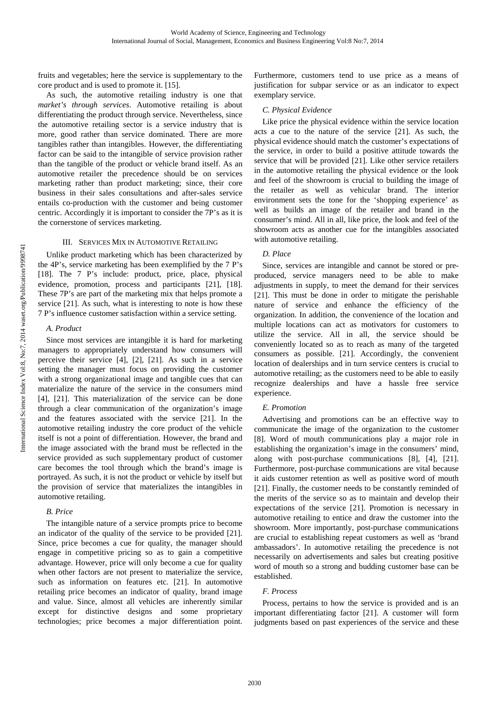fruits and vegetables; here the service is supplementary to the core product and is used to promote it. [15].

As such, the automotive retailing industry is one that *market's through services*. Automotive retailing is about differentiating the product through service. Nevertheless, since the automotive retailing sector is a service industry that is more, good rather than service dominated. There are more tangibles rather than intangibles. However, the differentiating factor can be said to the intangible of service provision rather than the tangible of the product or vehicle brand itself. As an automotive retailer the precedence should be on services marketing rather than product marketing; since, their core business in their sales consultations and after-sales service entails co-production with the customer and being customer centric. Accordingly it is important to consider the 7P's as it is the cornerstone of services marketing.

# III. SERVICES MIX IN AUTOMOTIVE RETAILING

Unlike product marketing which has been characterized by the 4P's, service marketing has been exemplified by the 7 P's [18]. The 7 P's include: product, price, place, physical evidence, promotion, process and participants [21], [18]. These 7P's are part of the marketing mix that helps promote a service [21]. As such, what is interesting to note is how these 7 P's influence customer satisfaction within a service setting.

#### *A. Product*

Since most services are intangible it is hard for marketing managers to appropriately understand how consumers will perceive their service [4], [2], [21]. As such in a service setting the manager must focus on providing the customer with a strong organizational image and tangible cues that can materialize the nature of the service in the consumers mind [4], [21]. This materialization of the service can be done through a clear communication of the organization's image and the features associated with the service [21]. In the automotive retailing industry the core product of the vehicle itself is not a point of differentiation. However, the brand and the image associated with the brand must be reflected in the service provided as such supplementary product of customer care becomes the tool through which the brand's image is portrayed. As such, it is not the product or vehicle by itself but the provision of service that materializes the intangibles in automotive retailing.

# *B. Price*

The intangible nature of a service prompts price to become an indicator of the quality of the service to be provided [21]. Since, price becomes a cue for quality, the manager should engage in competitive pricing so as to gain a competitive advantage. However, price will only become a cue for quality when other factors are not present to materialize the service, such as information on features etc. [21]. In automotive retailing price becomes an indicator of quality, brand image and value. Since, almost all vehicles are inherently similar except for distinctive designs and some proprietary technologies; price becomes a major differentiation point. Furthermore, customers tend to use price as a means of justification for subpar service or as an indicator to expect exemplary service.

#### *C. Physical Evidence*

Like price the physical evidence within the service location acts a cue to the nature of the service [21]. As such, the physical evidence should match the customer's expectations of the service, in order to build a positive attitude towards the service that will be provided [21]. Like other service retailers in the automotive retailing the physical evidence or the look and feel of the showroom is crucial to building the image of the retailer as well as vehicular brand. The interior environment sets the tone for the 'shopping experience' as well as builds an image of the retailer and brand in the consumer's mind. All in all, like price, the look and feel of the showroom acts as another cue for the intangibles associated with automotive retailing.

#### *D. Place*

Since, services are intangible and cannot be stored or preproduced, service managers need to be able to make adjustments in supply, to meet the demand for their services [21]. This must be done in order to mitigate the perishable nature of service and enhance the efficiency of the organization. In addition, the convenience of the location and multiple locations can act as motivators for customers to utilize the service. All in all, the service should be conveniently located so as to reach as many of the targeted consumers as possible. [21]. Accordingly, the convenient location of dealerships and in turn service centers is crucial to automotive retailing; as the customers need to be able to easily recognize dealerships and have a hassle free service experience.

#### *E. Promotion*

Advertising and promotions can be an effective way to communicate the image of the organization to the customer [8]. Word of mouth communications play a major role in establishing the organization's image in the consumers' mind, along with post-purchase communications [8], [4], [21]. Furthermore, post-purchase communications are vital because it aids customer retention as well as positive word of mouth [21]. Finally, the customer needs to be constantly reminded of the merits of the service so as to maintain and develop their expectations of the service [21]. Promotion is necessary in automotive retailing to entice and draw the customer into the showroom. More importantly, post-purchase communications are crucial to establishing repeat customers as well as 'brand ambassadors'. In automotive retailing the precedence is not necessarily on advertisements and sales but creating positive word of mouth so a strong and budding customer base can be established.

#### *F. Process*

Process, pertains to how the service is provided and is an important differentiating factor [21]. A customer will form judgments based on past experiences of the service and these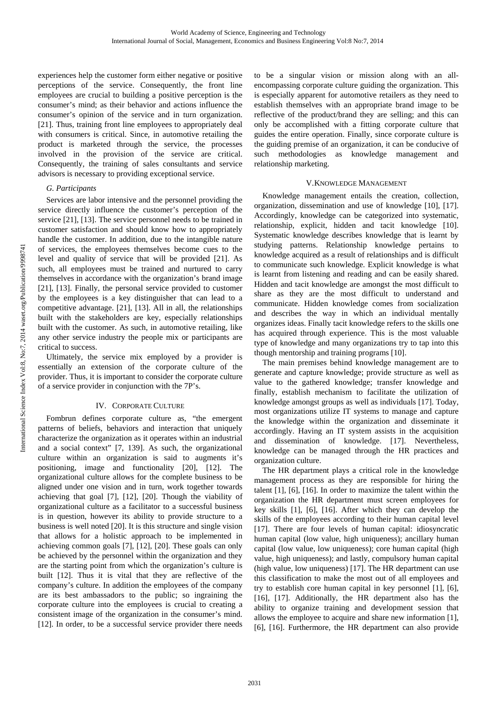experiences help the customer form either negative or positive perceptions of the service. Consequently, the front line employees are crucial to building a positive perception is the consumer's mind; as their behavior and actions influence the consumer's opinion of the service and in turn organization. [21]. Thus, training front line employees to appropriately deal with consumers is critical. Since, in automotive retailing the product is marketed through the service, the processes involved in the provision of the service are critical. Consequently, the training of sales consultants and service advisors is necessary to providing exceptional service.

## *G. Participants*

Services are labor intensive and the personnel providing the service directly influence the customer's perception of the service [21], [13]. The service personnel needs to be trained in customer satisfaction and should know how to appropriately handle the customer. In addition, due to the intangible nature of services, the employees themselves become cues to the level and quality of service that will be provided [21]. As such, all employees must be trained and nurtured to carry themselves in accordance with the organization's brand image [21], [13]. Finally, the personal service provided to customer by the employees is a key distinguisher that can lead to a competitive advantage. [21], [13]. All in all, the relationships built with the stakeholders are key, especially relationships built with the customer. As such, in automotive retailing, like any other service industry the people mix or participants are critical to success.

Ultimately, the service mix employed by a provider is essentially an extension of the corporate culture of the provider. Thus, it is important to consider the corporate culture of a service provider in conjunction with the 7P's.

#### IV. CORPORATE CULTURE

Fombrun defines corporate culture as, "the emergent patterns of beliefs, behaviors and interaction that uniquely characterize the organization as it operates within an industrial and a social context" [7, 139]. As such, the organizational culture within an organization is said to augments it's positioning, image and functionality [20], [12]. The organizational culture allows for the complete business to be aligned under one vision and in turn, work together towards achieving that goal [7], [12], [20]. Though the viability of organizational culture as a facilitator to a successful business is in question, however its ability to provide structure to a business is well noted [20]. It is this structure and single vision that allows for a holistic approach to be implemented in achieving common goals [7], [12], [20]. These goals can only be achieved by the personnel within the organization and they are the starting point from which the organization's culture is built [12]. Thus it is vital that they are reflective of the company's culture. In addition the employees of the company are its best ambassadors to the public; so ingraining the corporate culture into the employees is crucial to creating a consistent image of the organization in the consumer's mind. [12]. In order, to be a successful service provider there needs

to be a singular vision or mission along with an allencompassing corporate culture guiding the organization. This is especially apparent for automotive retailers as they need to establish themselves with an appropriate brand image to be reflective of the product/brand they are selling; and this can only be accomplished with a fitting corporate culture that guides the entire operation. Finally, since corporate culture is the guiding premise of an organization, it can be conducive of such methodologies as knowledge management and relationship marketing.

## V.KNOWLEDGE MANAGEMENT

Knowledge management entails the creation, collection, organization, dissemination and use of knowledge [10], [17]. Accordingly, knowledge can be categorized into systematic, relationship, explicit, hidden and tacit knowledge [10]. Systematic knowledge describes knowledge that is learnt by studying patterns. Relationship knowledge pertains to knowledge acquired as a result of relationships and is difficult to communicate such knowledge. Explicit knowledge is what is learnt from listening and reading and can be easily shared. Hidden and tacit knowledge are amongst the most difficult to share as they are the most difficult to understand and communicate. Hidden knowledge comes from socialization and describes the way in which an individual mentally organizes ideas. Finally tacit knowledge refers to the skills one has acquired through experience. This is the most valuable type of knowledge and many organizations try to tap into this though mentorship and training programs [10].

The main premises behind knowledge management are to generate and capture knowledge; provide structure as well as value to the gathered knowledge; transfer knowledge and finally, establish mechanism to facilitate the utilization of knowledge amongst groups as well as individuals [17]. Today, most organizations utilize IT systems to manage and capture the knowledge within the organization and disseminate it accordingly. Having an IT system assists in the acquisition and dissemination of knowledge. [17]. Nevertheless, knowledge can be managed through the HR practices and organization culture.

The HR department plays a critical role in the knowledge management process as they are responsible for hiring the talent [1], [6], [16]. In order to maximize the talent within the organization the HR department must screen employees for key skills [1], [6], [16]. After which they can develop the skills of the employees according to their human capital level [17]. There are four levels of human capital: idiosyncratic human capital (low value, high uniqueness); ancillary human capital (low value, low uniqueness); core human capital (high value, high uniqueness); and lastly, compulsory human capital (high value, low uniqueness) [17]. The HR department can use this classification to make the most out of all employees and try to establish core human capital in key personnel [1], [6], [16], [17]. Additionally, the HR department also has the ability to organize training and development session that allows the employee to acquire and share new information [1], [6], [16]. Furthermore, the HR department can also provide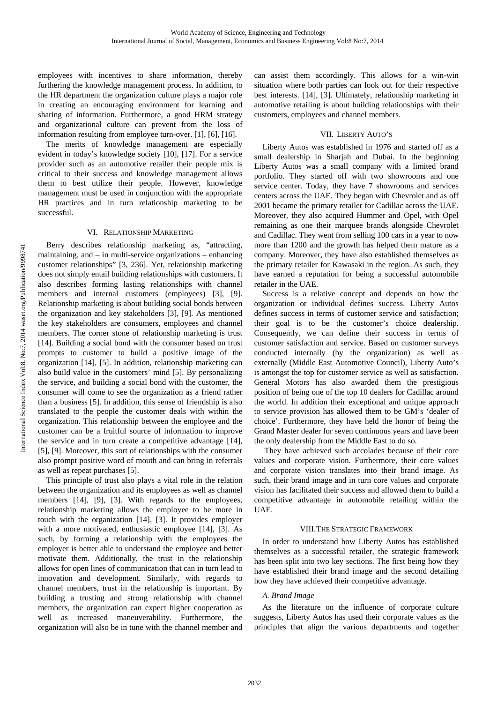employees with incentives to share information, thereby furthering the knowledge management process. In addition, to the HR department the organization culture plays a major role in creating an encouraging environment for learning and sharing of information. Furthermore, a good HRM strategy and organizational culture can prevent from the loss of information resulting from employee turn-over. [1], [6], [16].

The merits of knowledge management are especially evident in today's knowledge society [10], [17]. For a service provider such as an automotive retailer their people mix is critical to their success and knowledge management allows them to best utilize their people. However, knowledge management must be used in conjunction with the appropriate HR practices and in turn relationship marketing to be successful.

#### VI. RELATIONSHIP MARKETING

Berry describes relationship marketing as, "attracting, maintaining, and – in multi-service organizations – enhancing customer relationships" [3, 236]. Yet, relationship marketing does not simply entail building relationships with customers. It also describes forming lasting relationships with channel members and internal customers (employees) [3], [9]. Relationship marketing is about building social bonds between the organization and key stakeholders [3], [9]. As mentioned the key stakeholders are consumers, employees and channel members. The corner stone of relationship marketing is trust [14]. Building a social bond with the consumer based on trust prompts to customer to build a positive image of the organization [14], [5]. In addition, relationship marketing can also build value in the customers' mind [5]. By personalizing the service, and building a social bond with the customer, the consumer will come to see the organization as a friend rather than a business [5]. In addition, this sense of friendship is also translated to the people the customer deals with within the organization. This relationship between the employee and the customer can be a fruitful source of information to improve the service and in turn create a competitive advantage [14], [5], [9]. Moreover, this sort of relationships with the consumer also prompt positive word of mouth and can bring in referrals as well as repeat purchases [5].

This principle of trust also plays a vital role in the relation between the organization and its employees as well as channel members [14], [9], [3]. With regards to the employees, relationship marketing allows the employee to be more in touch with the organization [14], [3]. It provides employer with a more motivated, enthusiastic employee [14], [3]. As such, by forming a relationship with the employees the employer is better able to understand the employee and better motivate them. Additionally, the trust in the relationship allows for open lines of communication that can in turn lead to innovation and development. Similarly, with regards to channel members, trust in the relationship is important. By building a trusting and strong relationship with channel members, the organization can expect higher cooperation as well as increased maneuverability. Furthermore, the organization will also be in tune with the channel member and

can assist them accordingly. This allows for a win-win situation where both parties can look out for their respective best interests. [14], [3]. Ultimately, relationship marketing in automotive retailing is about building relationships with their customers, employees and channel members.

# VII. LIBERTY AUTO'S

Liberty Autos was established in 1976 and started off as a small dealership in Sharjah and Dubai. In the beginning Liberty Autos was a small company with a limited brand portfolio. They started off with two showrooms and one service center. Today, they have 7 showrooms and services centers across the UAE. They began with Chevrolet and as off 2001 became the primary retailer for Cadillac across the UAE. Moreover, they also acquired Hummer and Opel, with Opel remaining as one their marquee brands alongside Chevrolet and Cadillac. They went from selling 100 cars in a year to now more than 1200 and the growth has helped them mature as a company. Moreover, they have also established themselves as the primary retailer for Kawasaki in the region. As such, they have earned a reputation for being a successful automobile retailer in the UAE.

Success is a relative concept and depends on how the organization or individual defines success. Liberty Autos defines success in terms of customer service and satisfaction; their goal is to be the customer's choice dealership. Consequently, we can define their success in terms of customer satisfaction and service. Based on customer surveys conducted internally (by the organization) as well as externally (Middle East Automotive Council), Liberty Auto's is amongst the top for customer service as well as satisfaction. General Motors has also awarded them the prestigious position of being one of the top 10 dealers for Cadillac around the world. In addition their exceptional and unique approach to service provision has allowed them to be GM's 'dealer of choice'. Furthermore, they have held the honor of being the Grand Master dealer for seven continuous years and have been the only dealership from the Middle East to do so.

 They have achieved such accolades because of their core values and corporate vision. Furthermore, their core values and corporate vision translates into their brand image. As such, their brand image and in turn core values and corporate vision has facilitated their success and allowed them to build a competitive advantage in automobile retailing within the UAE.

# VIII.THE STRATEGIC FRAMEWORK

In order to understand how Liberty Autos has established themselves as a successful retailer, the strategic framework has been split into two key sections. The first being how they have established their brand image and the second detailing how they have achieved their competitive advantage.

# *A. Brand Image*

As the literature on the influence of corporate culture suggests, Liberty Autos has used their corporate values as the principles that align the various departments and together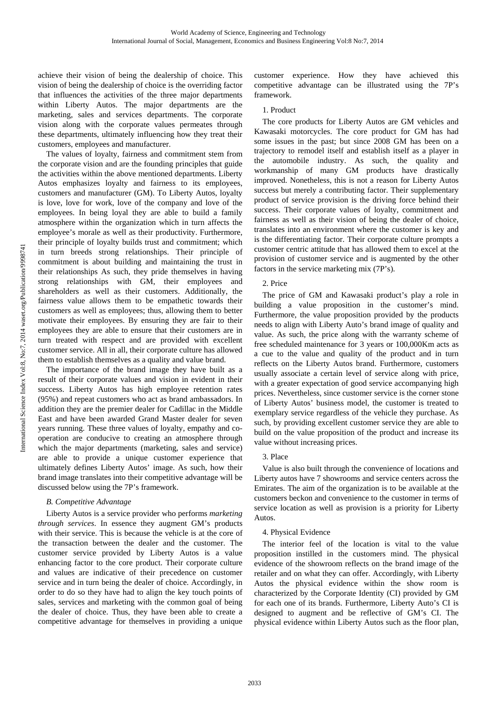achieve their vision of being the dealership of choice. This vision of being the dealership of choice is the overriding factor that influences the activities of the three major departments within Liberty Autos. The major departments are the marketing, sales and services departments. The corporate vision along with the corporate values permeates through these departments, ultimately influencing how they treat their customers, employees and manufacturer.

The values of loyalty, fairness and commitment stem from the corporate vision and are the founding principles that guide the activities within the above mentioned departments. Liberty Autos emphasizes loyalty and fairness to its employees, customers and manufacturer (GM). To Liberty Autos, loyalty is love, love for work, love of the company and love of the employees. In being loyal they are able to build a family atmosphere within the organization which in turn affects the employee's morale as well as their productivity. Furthermore, their principle of loyalty builds trust and commitment; which in turn breeds strong relationships. Their principle of commitment is about building and maintaining the trust in their relationships As such, they pride themselves in having strong relationships with GM, their employees and shareholders as well as their customers. Additionally, the fairness value allows them to be empathetic towards their customers as well as employees; thus, allowing them to better motivate their employees. By ensuring they are fair to their employees they are able to ensure that their customers are in turn treated with respect and are provided with excellent customer service. All in all, their corporate culture has allowed them to establish themselves as a quality and value brand.

The importance of the brand image they have built as a result of their corporate values and vision in evident in their success. Liberty Autos has high employee retention rates (95%) and repeat customers who act as brand ambassadors. In addition they are the premier dealer for Cadillac in the Middle East and have been awarded Grand Master dealer for seven years running. These three values of loyalty, empathy and cooperation are conducive to creating an atmosphere through which the major departments (marketing, sales and service) are able to provide a unique customer experience that ultimately defines Liberty Autos' image. As such, how their brand image translates into their competitive advantage will be discussed below using the 7P's framework.

# *B. Competitive Advantage*

Liberty Autos is a service provider who performs *marketing through services*. In essence they augment GM's products with their service. This is because the vehicle is at the core of the transaction between the dealer and the customer. The customer service provided by Liberty Autos is a value enhancing factor to the core product. Their corporate culture and values are indicative of their precedence on customer service and in turn being the dealer of choice. Accordingly, in order to do so they have had to align the key touch points of sales, services and marketing with the common goal of being the dealer of choice. Thus, they have been able to create a competitive advantage for themselves in providing a unique customer experience. How they have achieved this competitive advantage can be illustrated using the 7P's framework.

## 1. Product

The core products for Liberty Autos are GM vehicles and Kawasaki motorcycles. The core product for GM has had some issues in the past; but since 2008 GM has been on a trajectory to remodel itself and establish itself as a player in the automobile industry. As such, the quality and workmanship of many GM products have drastically improved. Nonetheless, this is not a reason for Liberty Autos success but merely a contributing factor. Their supplementary product of service provision is the driving force behind their success. Their corporate values of loyalty, commitment and fairness as well as their vision of being the dealer of choice, translates into an environment where the customer is key and is the differentiating factor. Their corporate culture prompts a customer centric attitude that has allowed them to excel at the provision of customer service and is augmented by the other factors in the service marketing mix (7P's).

# 2. Price

The price of GM and Kawasaki product's play a role in building a value proposition in the customer's mind. Furthermore, the value proposition provided by the products needs to align with Liberty Auto's brand image of quality and value. As such, the price along with the warranty scheme of free scheduled maintenance for 3 years or 100,000Km acts as a cue to the value and quality of the product and in turn reflects on the Liberty Autos brand. Furthermore, customers usually associate a certain level of service along with price, with a greater expectation of good service accompanying high prices. Nevertheless, since customer service is the corner stone of Liberty Autos' business model, the customer is treated to exemplary service regardless of the vehicle they purchase. As such, by providing excellent customer service they are able to build on the value proposition of the product and increase its value without increasing prices.

#### 3. Place

Value is also built through the convenience of locations and Liberty autos have 7 showrooms and service centers across the Emirates. The aim of the organization is to be available at the customers beckon and convenience to the customer in terms of service location as well as provision is a priority for Liberty Autos.

#### 4. Physical Evidence

The interior feel of the location is vital to the value proposition instilled in the customers mind. The physical evidence of the showroom reflects on the brand image of the retailer and on what they can offer. Accordingly, with Liberty Autos the physical evidence within the show room is characterized by the Corporate Identity (CI) provided by GM for each one of its brands. Furthermore, Liberty Auto's CI is designed to augment and be reflective of GM's CI. The physical evidence within Liberty Autos such as the floor plan,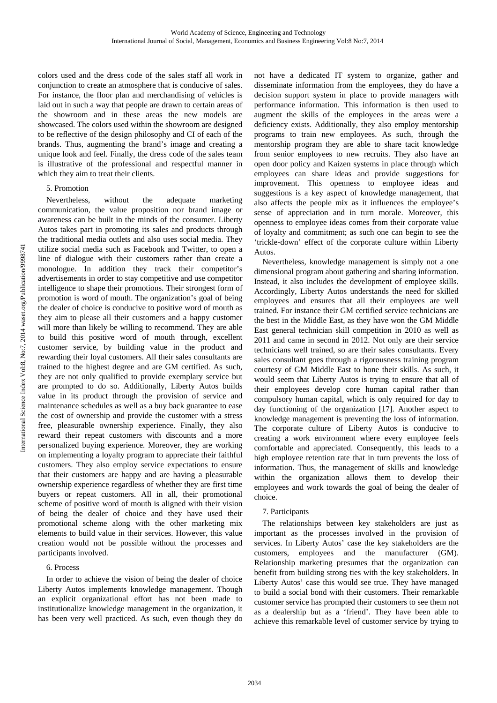colors used and the dress code of the sales staff all work in conjunction to create an atmosphere that is conducive of sales. For instance, the floor plan and merchandising of vehicles is laid out in such a way that people are drawn to certain areas of the showroom and in these areas the new models are showcased. The colors used within the showroom are designed to be reflective of the design philosophy and CI of each of the brands. Thus, augmenting the brand's image and creating a unique look and feel. Finally, the dress code of the sales team is illustrative of the professional and respectful manner in which they aim to treat their clients.

# 5. Promotion

Nevertheless, without the adequate marketing communication, the value proposition nor brand image or awareness can be built in the minds of the consumer. Liberty Autos takes part in promoting its sales and products through the traditional media outlets and also uses social media. They utilize social media such as Facebook and Twitter, to open a line of dialogue with their customers rather than create a monologue. In addition they track their competitor's advertisements in order to stay competitive and use competitor intelligence to shape their promotions. Their strongest form of promotion is word of mouth. The organization's goal of being the dealer of choice is conducive to positive word of mouth as they aim to please all their customers and a happy customer will more than likely be willing to recommend. They are able to build this positive word of mouth through, excellent customer service, by building value in the product and rewarding their loyal customers. All their sales consultants are trained to the highest degree and are GM certified. As such, they are not only qualified to provide exemplary service but are prompted to do so. Additionally, Liberty Autos builds value in its product through the provision of service and maintenance schedules as well as a buy back guarantee to ease the cost of ownership and provide the customer with a stress free, pleasurable ownership experience. Finally, they also reward their repeat customers with discounts and a more personalized buying experience. Moreover, they are working on implementing a loyalty program to appreciate their faithful customers. They also employ service expectations to ensure that their customers are happy and are having a pleasurable ownership experience regardless of whether they are first time buyers or repeat customers. All in all, their promotional scheme of positive word of mouth is aligned with their vision of being the dealer of choice and they have used their promotional scheme along with the other marketing mix elements to build value in their services. However, this value creation would not be possible without the processes and participants involved.

# 6. Process

In order to achieve the vision of being the dealer of choice Liberty Autos implements knowledge management. Though an explicit organizational effort has not been made to institutionalize knowledge management in the organization, it has been very well practiced. As such, even though they do not have a dedicated IT system to organize, gather and disseminate information from the employees, they do have a decision support system in place to provide managers with performance information. This information is then used to augment the skills of the employees in the areas were a deficiency exists. Additionally, they also employ mentorship programs to train new employees. As such, through the mentorship program they are able to share tacit knowledge from senior employees to new recruits. They also have an open door policy and Kaizen systems in place through which employees can share ideas and provide suggestions for improvement. This openness to employee ideas and suggestions is a key aspect of knowledge management, that also affects the people mix as it influences the employee's sense of appreciation and in turn morale. Moreover, this openness to employee ideas comes from their corporate value of loyalty and commitment; as such one can begin to see the 'trickle-down' effect of the corporate culture within Liberty Autos.

Nevertheless, knowledge management is simply not a one dimensional program about gathering and sharing information. Instead, it also includes the development of employee skills. Accordingly, Liberty Autos understands the need for skilled employees and ensures that all their employees are well trained. For instance their GM certified service technicians are the best in the Middle East, as they have won the GM Middle East general technician skill competition in 2010 as well as 2011 and came in second in 2012. Not only are their service technicians well trained, so are their sales consultants. Every sales consultant goes through a rigorousness training program courtesy of GM Middle East to hone their skills. As such, it would seem that Liberty Autos is trying to ensure that all of their employees develop core human capital rather than compulsory human capital, which is only required for day to day functioning of the organization [17]. Another aspect to knowledge management is preventing the loss of information. The corporate culture of Liberty Autos is conducive to creating a work environment where every employee feels comfortable and appreciated. Consequently, this leads to a high employee retention rate that in turn prevents the loss of information. Thus, the management of skills and knowledge within the organization allows them to develop their employees and work towards the goal of being the dealer of choice.

# 7. Participants

The relationships between key stakeholders are just as important as the processes involved in the provision of services. In Liberty Autos' case the key stakeholders are the customers, employees and the manufacturer (GM). Relationship marketing presumes that the organization can benefit from building strong ties with the key stakeholders. In Liberty Autos' case this would see true. They have managed to build a social bond with their customers. Their remarkable customer service has prompted their customers to see them not as a dealership but as a 'friend'. They have been able to achieve this remarkable level of customer service by trying to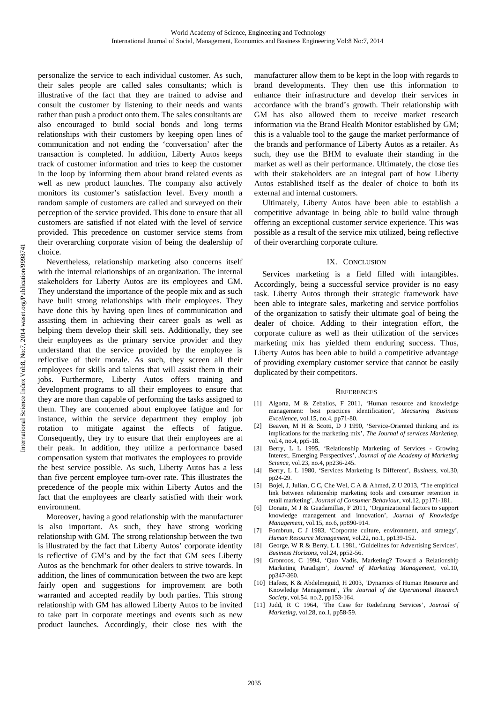personalize the service to each individual customer. As such, their sales people are called sales consultants; which is illustrative of the fact that they are trained to advise and consult the customer by listening to their needs and wants rather than push a product onto them. The sales consultants are also encouraged to build social bonds and long terms relationships with their customers by keeping open lines of communication and not ending the 'conversation' after the transaction is completed. In addition, Liberty Autos keeps track of customer information and tries to keep the customer in the loop by informing them about brand related events as well as new product launches. The company also actively monitors its customer's satisfaction level. Every month a random sample of customers are called and surveyed on their perception of the service provided. This done to ensure that all customers are satisfied if not elated with the level of service provided. This precedence on customer service stems from their overarching corporate vision of being the dealership of choice.

Nevertheless, relationship marketing also concerns itself with the internal relationships of an organization. The internal stakeholders for Liberty Autos are its employees and GM. They understand the importance of the people mix and as such have built strong relationships with their employees. They have done this by having open lines of communication and assisting them in achieving their career goals as well as helping them develop their skill sets. Additionally, they see their employees as the primary service provider and they understand that the service provided by the employee is reflective of their morale. As such, they screen all their employees for skills and talents that will assist them in their jobs. Furthermore, Liberty Autos offers training and development programs to all their employees to ensure that they are more than capable of performing the tasks assigned to them. They are concerned about employee fatigue and for instance, within the service department they employ job rotation to mitigate against the effects of fatigue. Consequently, they try to ensure that their employees are at their peak. In addition, they utilize a performance based compensation system that motivates the employees to provide the best service possible. As such, Liberty Autos has a less than five percent employee turn-over rate. This illustrates the precedence of the people mix within Liberty Autos and the fact that the employees are clearly satisfied with their work environment.

Moreover, having a good relationship with the manufacturer is also important. As such, they have strong working relationship with GM. The strong relationship between the two is illustrated by the fact that Liberty Autos' corporate identity is reflective of GM's and by the fact that GM sees Liberty Autos as the benchmark for other dealers to strive towards. In addition, the lines of communication between the two are kept fairly open and suggestions for improvement are both warranted and accepted readily by both parties. This strong relationship with GM has allowed Liberty Autos to be invited to take part in corporate meetings and events such as new product launches. Accordingly, their close ties with the manufacturer allow them to be kept in the loop with regards to brand developments. They then use this information to enhance their infrastructure and develop their services in accordance with the brand's growth. Their relationship with GM has also allowed them to receive market research information via the Brand Health Monitor established by GM; this is a valuable tool to the gauge the market performance of the brands and performance of Liberty Autos as a retailer. As such, they use the BHM to evaluate their standing in the market as well as their performance. Ultimately, the close ties with their stakeholders are an integral part of how Liberty Autos established itself as the dealer of choice to both its external and internal customers.

Ultimately, Liberty Autos have been able to establish a competitive advantage in being able to build value through offering an exceptional customer service experience. This was possible as a result of the service mix utilized, being reflective of their overarching corporate culture.

#### IX. CONCLUSION

Services marketing is a field filled with intangibles. Accordingly, being a successful service provider is no easy task. Liberty Autos through their strategic framework have been able to integrate sales, marketing and service portfolios of the organization to satisfy their ultimate goal of being the dealer of choice. Adding to their integration effort, the corporate culture as well as their utilization of the services marketing mix has yielded them enduring success. Thus, Liberty Autos has been able to build a competitive advantage of providing exemplary customer service that cannot be easily duplicated by their competitors.

#### **REFERENCES**

- [1] Algorta, M & Zeballos, F 2011, 'Human resource and knowledge management: best practices identification', *Measuring Business Excellence*, vol.15, no.4, pp71-80.
- [2] Beaven, M H & Scotti, D J 1990, 'Service-Oriented thinking and its implications for the marketing mix', *The Journal of services Marketing*, vol.4, no.4, pp5-18.
- [3] Berry, L L 1995, 'Relationship Marketing of Services Growing Interest, Emerging Perspectives', *Journal of the Academy of Marketing Science*, vol.23, no.4, pp236-245.
- [4] Berry, L L 1980, 'Services Marketing Is Different', *Business*, vol.30, pp24-29.
- [5] Bojei, J, Julian, C C, Che Wel, C A & Ahmed, Z U 2013, 'The empirical link between relationship marketing tools and consumer retention in retail marketing', *Journal of Consumer Behaviour*, vol.12, pp171-181.
- [6] Donate, M J & Guadamillas, F 2011, 'Organizational factors to support knowledge management and innovation', *Journal of Knowledge Management*, vol.15, no.6, pp890-914.
- [7] Fombrun, C J 1983, 'Corporate culture, environment, and strategy', *Human Resource Management*, vol.22, no.1, pp139-152.
- [8] George, W R & Berry, L L 1981, 'Guidelines for Advertising Services', *Business Horizons*, vol.24, pp52-56.
- [9] Gronroos, C 1994, 'Quo Vadis, Marketing? Toward a Relationship Marketing Paradigm', *Journal of Marketing Management*, vol.10, pp347-360.
- [10] Hafeez, K & Abdelmeguid, H 2003, 'Dynamics of Human Resource and Knowledge Management', *The Journal of the Operational Research Society*, vol.54. no.2, pp153-164.
- [11] Judd, R C 1964, 'The Case for Redefining Services', *Journal of Marketing*, vol.28, no.1, pp58-59.